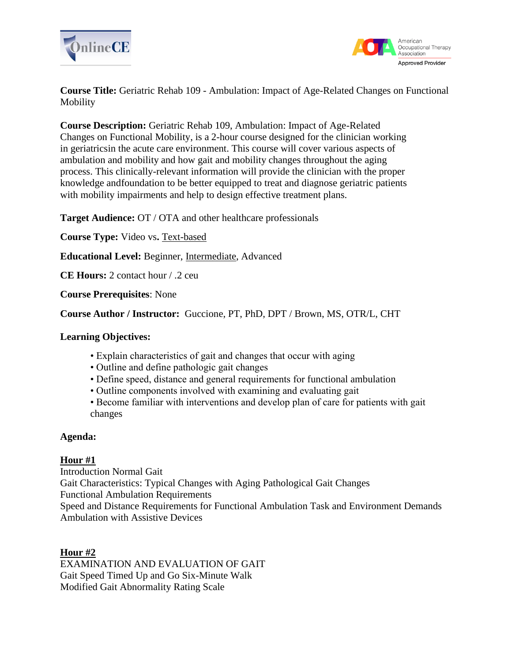



**Course Title:** Geriatric Rehab 109 - Ambulation: Impact of Age-Related Changes on Functional Mobility

**Course Description:** Geriatric Rehab 109, Ambulation: Impact of Age-Related Changes on Functional Mobility, is a 2-hour course designed for the clinician working in geriatricsin the acute care environment. This course will cover various aspects of ambulation and mobility and how gait and mobility changes throughout the aging process. This clinically-relevant information will provide the clinician with the proper knowledge andfoundation to be better equipped to treat and diagnose geriatric patients with mobility impairments and help to design effective treatment plans.

**Target Audience:** OT / OTA and other healthcare professionals

**Course Type:** Video vs**.** Text-based

**Educational Level:** Beginner, Intermediate, Advanced

**CE Hours:** 2 contact hour / .2 ceu

**Course Prerequisites**: None

**Course Author / Instructor:** Guccione, PT, PhD, DPT / Brown, MS, OTR/L, CHT

#### **Learning Objectives:**

- Explain characteristics of gait and changes that occur with aging
- Outline and define pathologic gait changes
- Define speed, distance and general requirements for functional ambulation
- Outline components involved with examining and evaluating gait
- Become familiar with interventions and develop plan of care for patients with gait changes

#### **Agenda:**

### **Hour #1**

Introduction Normal Gait Gait Characteristics: Typical Changes with Aging Pathological Gait Changes Functional Ambulation Requirements Speed and Distance Requirements for Functional Ambulation Task and Environment Demands Ambulation with Assistive Devices

### **Hour #2**

EXAMINATION AND EVALUATION OF GAIT Gait Speed Timed Up and Go Six-Minute Walk Modified Gait Abnormality Rating Scale